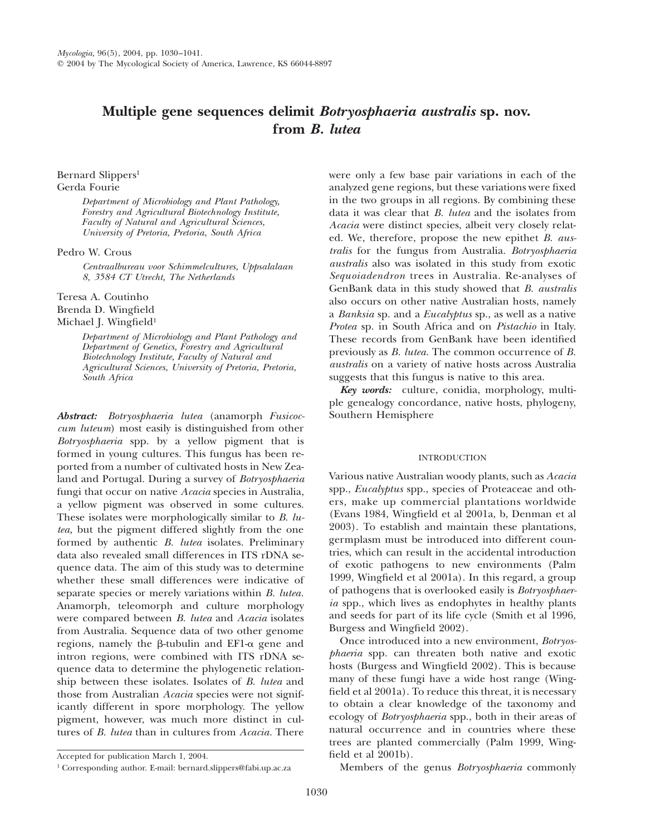# **Multiple gene sequences delimit** *Botryosphaeria australis* **sp. nov. from** *B. lutea*

# Bernard Slippers<sup>1</sup> Gerda Fourie

*Department of Microbiology and Plant Pathology, Forestry and Agricultural Biotechnology Institute, Faculty of Natural and Agricultural Sciences, University of Pretoria, Pretoria, South Africa*

# Pedro W. Crous

*Centraalbureau voor Schimmelcultures, Uppsalalaan 8, 3584 CT Utrecht, The Netherlands*

Teresa A. Coutinho Brenda D. Wingfield

Michael J. Wingfield<sup>1</sup>

*Department of Microbiology and Plant Pathology and Department of Genetics, Forestry and Agricultural Biotechnology Institute, Faculty of Natural and Agricultural Sciences, University of Pretoria, Pretoria, South Africa*

*Abstract: Botryosphaeria lutea* (anamorph *Fusicoccum luteum*) most easily is distinguished from other *Botryosphaeria* spp. by a yellow pigment that is formed in young cultures. This fungus has been reported from a number of cultivated hosts in New Zealand and Portugal. During a survey of *Botryosphaeria* fungi that occur on native *Acacia* species in Australia, a yellow pigment was observed in some cultures. These isolates were morphologically similar to *B. lutea,* but the pigment differed slightly from the one formed by authentic *B. lutea* isolates. Preliminary data also revealed small differences in ITS rDNA sequence data. The aim of this study was to determine whether these small differences were indicative of separate species or merely variations within *B. lutea.* Anamorph, teleomorph and culture morphology were compared between *B. lutea* and *Acacia* isolates from Australia. Sequence data of two other genome regions, namely the  $\beta$ -tubulin and EF1- $\alpha$  gene and intron regions, were combined with ITS rDNA sequence data to determine the phylogenetic relationship between these isolates. Isolates of *B. lutea* and those from Australian *Acacia* species were not significantly different in spore morphology. The yellow pigment, however, was much more distinct in cultures of *B. lutea* than in cultures from *Acacia.* There

were only a few base pair variations in each of the analyzed gene regions, but these variations were fixed in the two groups in all regions. By combining these data it was clear that *B. lutea* and the isolates from *Acacia* were distinct species, albeit very closely related. We, therefore, propose the new epithet *B. australis* for the fungus from Australia. *Botryosphaeria australis* also was isolated in this study from exotic *Sequoiadendron* trees in Australia. Re-analyses of GenBank data in this study showed that *B. australis* also occurs on other native Australian hosts, namely a *Banksia* sp. and a *Eucalyptus* sp., as well as a native *Protea* sp. in South Africa and on *Pistachio* in Italy. These records from GenBank have been identified previously as *B. lutea.* The common occurrence of *B. australis* on a variety of native hosts across Australia suggests that this fungus is native to this area.

*Key words:* culture, conidia, morphology, multiple genealogy concordance, native hosts, phylogeny, Southern Hemisphere

## INTRODUCTION

Various native Australian woody plants, such as *Acacia* spp., *Eucalyptus* spp., species of Proteaceae and others, make up commercial plantations worldwide (Evans 1984, Wingfield et al 2001a, b, Denman et al 2003). To establish and maintain these plantations, germplasm must be introduced into different countries, which can result in the accidental introduction of exotic pathogens to new environments (Palm 1999, Wingfield et al 2001a). In this regard, a group of pathogens that is overlooked easily is *Botryosphaeria* spp., which lives as endophytes in healthy plants and seeds for part of its life cycle (Smith et al 1996, Burgess and Wingfield 2002).

Once introduced into a new environment, *Botryosphaeria* spp. can threaten both native and exotic hosts (Burgess and Wingfield 2002). This is because many of these fungi have a wide host range (Wingfield et al 2001a). To reduce this threat, it is necessary to obtain a clear knowledge of the taxonomy and ecology of *Botryosphaeria* spp., both in their areas of natural occurrence and in countries where these trees are planted commercially (Palm 1999, Wingfield et al 2001b).

Members of the genus *Botryosphaeria* commonly

Accepted for publication March 1, 2004.

<sup>1</sup> Corresponding author. E-mail: bernard.slippers@fabi.up.ac.za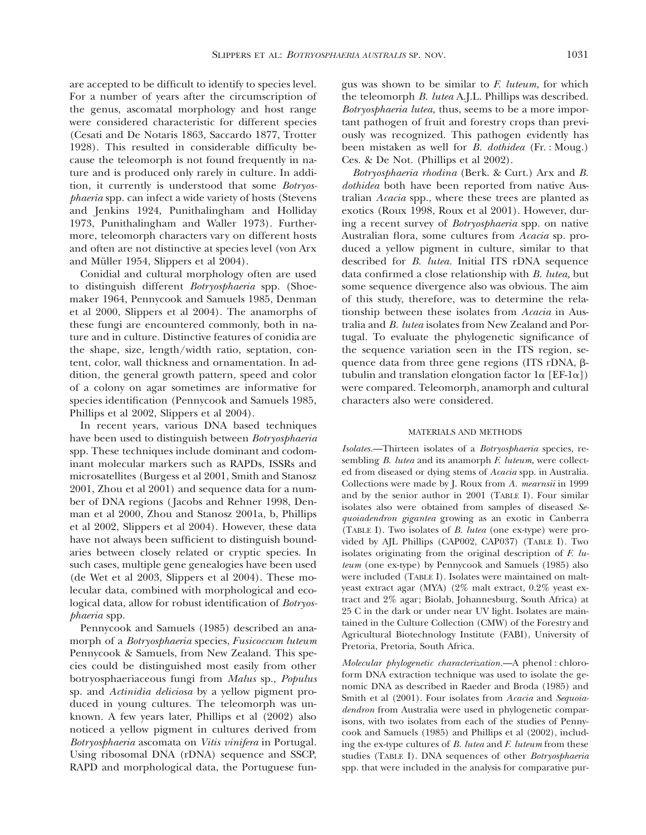are accepted to be difficult to identify to species level. For a number of years after the circumscription of the genus, ascomatal morphology and host range were considered characteristic for different species (Cesati and De Notaris 1863, Saccardo 1877, Trotter 1928). This resulted in considerable difficulty because the teleomorph is not found frequently in nature and is produced only rarely in culture. In addition, it currently is understood that some *Botryosphaeria* spp. can infect a wide variety of hosts (Stevens and Jenkins 1924, Punithalingham and Holliday 1973, Punithalingham and Waller 1973). Furthermore, teleomorph characters vary on different hosts and often are not distinctive at species level (von Arx and Müller 1954, Slippers et al 2004).

Conidial and cultural morphology often are used to distinguish different *Botryosphaeria* spp. (Shoemaker 1964, Pennycook and Samuels 1985, Denman et al 2000, Slippers et al 2004). The anamorphs of these fungi are encountered commonly, both in nature and in culture. Distinctive features of conidia are the shape, size, length/width ratio, septation, content, color, wall thickness and ornamentation. In addition, the general growth pattern, speed and color of a colony on agar sometimes are informative for species identification (Pennycook and Samuels 1985, Phillips et al 2002, Slippers et al 2004).

In recent years, various DNA based techniques have been used to distinguish between *Botryosphaeria* spp. These techniques include dominant and codominant molecular markers such as RAPDs, ISSRs and microsatellites (Burgess et al 2001, Smith and Stanosz 2001, Zhou et al 2001) and sequence data for a number of DNA regions ( Jacobs and Rehner 1998, Denman et al 2000, Zhou and Stanosz 2001a, b, Phillips et al 2002, Slippers et al 2004). However, these data have not always been sufficient to distinguish boundaries between closely related or cryptic species. In such cases, multiple gene genealogies have been used (de Wet et al 2003, Slippers et al 2004). These molecular data, combined with morphological and ecological data, allow for robust identification of *Botryosphaeria* spp.

Pennycook and Samuels (1985) described an anamorph of a *Botryosphaeria* species, *Fusicoccum luteum* Pennycook & Samuels, from New Zealand. This species could be distinguished most easily from other botryosphaeriaceous fungi from *Malus* sp., *Populus* sp. and *Actinidia deliciosa* by a yellow pigment produced in young cultures. The teleomorph was unknown. A few years later, Phillips et al (2002) also noticed a yellow pigment in cultures derived from *Botryosphaeria* ascomata on *Vitis vinifera* in Portugal. Using ribosomal DNA (rDNA) sequence and SSCP, RAPD and morphological data, the Portuguese fungus was shown to be similar to *F. luteum,* for which the teleomorph *B. lutea* A.J.L. Phillips was described. *Botryosphaeria lutea,* thus, seems to be a more important pathogen of fruit and forestry crops than previously was recognized. This pathogen evidently has been mistaken as well for *B. dothidea* (Fr. : Moug.) Ces. & De Not. (Phillips et al 2002).

*Botryosphaeria rhodina* (Berk. & Curt.) Arx and *B. dothidea* both have been reported from native Australian *Acacia* spp., where these trees are planted as exotics (Roux 1998, Roux et al 2001). However, during a recent survey of *Botryosphaeria* spp. on native Australian flora, some cultures from *Acacia* sp. produced a yellow pigment in culture, similar to that described for *B. lutea.* Initial ITS rDNA sequence data confirmed a close relationship with *B. lutea,* but some sequence divergence also was obvious. The aim of this study, therefore, was to determine the relationship between these isolates from *Acacia* in Australia and *B. lutea* isolates from New Zealand and Portugal. To evaluate the phylogenetic significance of the sequence variation seen in the ITS region, sequence data from three gene regions (ITS rDNA, btubulin and translation elongation factor  $1\alpha$  [EF-1 $\alpha$ ]) were compared. Teleomorph, anamorph and cultural characters also were considered.

#### MATERIALS AND METHODS

*Isolates.*—Thirteen isolates of a *Botryosphaeria* species, resembling *B. lutea* and its anamorph *F. luteum,* were collected from diseased or dying stems of *Acacia* spp. in Australia. Collections were made by J. Roux from *A. mearnsii* in 1999 and by the senior author in 2001 (TABLE I). Four similar isolates also were obtained from samples of diseased *Sequoiadendron gigantea* growing as an exotic in Canberra (TABLE I). Two isolates of *B. lutea* (one ex-type) were provided by AJL Phillips (CAP002, CAP037) (TABLE I). Two isolates originating from the original description of *F. luteum* (one ex-type) by Pennycook and Samuels (1985) also were included (TABLE I). Isolates were maintained on maltyeast extract agar (MYA) (2% malt extract, 0.2% yeast extract and 2% agar; Biolab, Johannesburg, South Africa) at 25 C in the dark or under near UV light. Isolates are maintained in the Culture Collection (CMW) of the Forestry and Agricultural Biotechnology Institute (FABI), University of Pretoria, Pretoria, South Africa.

*Molecular phylogenetic characterization.*—A phenol : chloroform DNA extraction technique was used to isolate the genomic DNA as described in Raeder and Broda (1985) and Smith et al (2001). Four isolates from *Acacia* and *Sequoiadendron* from Australia were used in phylogenetic comparisons, with two isolates from each of the studies of Pennycook and Samuels (1985) and Phillips et al (2002), including the ex-type cultures of *B. lutea* and *F. luteum* from these studies (TABLE I). DNA sequences of other *Botryosphaeria* spp. that were included in the analysis for comparative pur-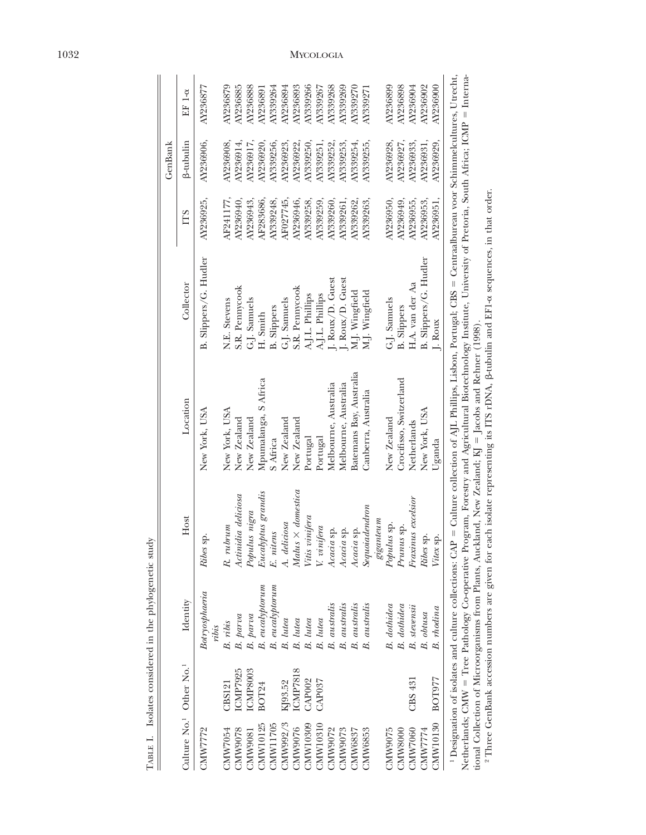|                |                                                 |                                                                       |                         |                                                                                                                                                                                                                                                                                                                                                    |                       |           | GenBank   |          |
|----------------|-------------------------------------------------|-----------------------------------------------------------------------|-------------------------|----------------------------------------------------------------------------------------------------------------------------------------------------------------------------------------------------------------------------------------------------------------------------------------------------------------------------------------------------|-----------------------|-----------|-----------|----------|
|                | Culture No. <sup>1</sup> Other No. <sup>1</sup> | Identity                                                              | Host                    | Location                                                                                                                                                                                                                                                                                                                                           | Collector             | ГTS       | ß-tubulin | EF 1-α   |
| CMW7772        |                                                 | Botryosphaeria<br>ribis                                               | Ribes sp.               | New York, USA                                                                                                                                                                                                                                                                                                                                      | B. Slippers/G. Hudler | AY236925, | AY236906, | AY236877 |
| CMW7054        | CBS121                                          | B. ribis                                                              | $R.$ $rubrum$           | New York, USA                                                                                                                                                                                                                                                                                                                                      | N.E. Stevens          | AF241177  | AY236908. | AY236879 |
| CMW9078        | <b>ICMP7925</b>                                 | B. parva                                                              | Actinidia deliciosa     | New Zealand                                                                                                                                                                                                                                                                                                                                        | S.R. Pennycook        | AY236940, | AY236914  | AY236885 |
| CMW9081        | ICMP8003                                        | B. parva                                                              | Populus nigra           | New Zealand                                                                                                                                                                                                                                                                                                                                        | G.J. Samuels          | AY236943  | AY236917  | AY236888 |
| CMW10125       | BOT24                                           | $B.$ eucalyptorum                                                     | Eucalyptus grandis      | Mpumalanga, S Africa                                                                                                                                                                                                                                                                                                                               | H. Smith              | AF283686. | AY236920. | AY236891 |
| CMW11705       |                                                 | $B.$ eucalyptorum                                                     | E. nitens               | S Africa                                                                                                                                                                                                                                                                                                                                           | <b>B.</b> Slippers    | AY339248, | AY339256. | AY339264 |
| CMW992/3       | KJ93.52                                         | B. lutea                                                              | A. deliciosa            | New Zealand                                                                                                                                                                                                                                                                                                                                        | G.J. Samuels          | AF027745, | AY236923  | AY236894 |
| CMW9076        | <b>ICMP7818</b>                                 | B. lutea                                                              | $Malus \times domestic$ | New Zealand                                                                                                                                                                                                                                                                                                                                        | S.R. Pennycook        | AY236946. | AY236922  | AY236893 |
| CMW10309       | CAP <sub>002</sub>                              | B. lutea                                                              | Vitis vinifera          | Portugal                                                                                                                                                                                                                                                                                                                                           | A.J.L. Phillips       | AY339258  | AY339250. | AY339266 |
| CMW10310       | CAP037                                          | B. lutea                                                              | V. vinifera             | Portugal                                                                                                                                                                                                                                                                                                                                           | A.J.L. Phillips       | AY339259, | AY339251  | AY339267 |
| CMW9072        |                                                 | <b>B.</b> australis                                                   | z sp.<br>Acacia         | Melbourne, Australia                                                                                                                                                                                                                                                                                                                               | J. Roux/D. Guest      | AY339260, | AY339252  | AY339268 |
| CMW9073        |                                                 | <b>B.</b> australis                                                   | i sp.<br>Acacia         | Melbourne, Australia                                                                                                                                                                                                                                                                                                                               | J. Roux/D. Guest      | AY339261  | AY339253  | AY339269 |
| CMW6837        |                                                 | B. australis                                                          | Acacia sp.              | Batemans Bay, Australia                                                                                                                                                                                                                                                                                                                            | M.J. Wingfield        | AY339262  | AY339254  | AY339270 |
| <b>CMW6853</b> |                                                 | <b>B.</b> australis                                                   | ${\it Sequoidendron}$   | Canberra, Australia                                                                                                                                                                                                                                                                                                                                | M.J. Wingfield        | AY339263, | AY339255, | AY339271 |
|                |                                                 |                                                                       | $\it giganteum$         |                                                                                                                                                                                                                                                                                                                                                    |                       |           |           |          |
| CMW9075        |                                                 | B. dothidea                                                           | Populus sp.             | New Zealand                                                                                                                                                                                                                                                                                                                                        | G.J. Samuels          | AY236950, | AY236928  | AY236899 |
| CMW8000        |                                                 | $\begin{tabular}{ll} B. & dotidea \\ B. & stevensii \\ \end{tabular}$ | Prunus sp.              | Crocifisso, Switzerland                                                                                                                                                                                                                                                                                                                            | <b>B.</b> Slippers    | AY236949  | AY236927. | AY236898 |
| CMW7060        | CBS <sub>431</sub>                              |                                                                       | Fraxinus excelsior      | Netherlands                                                                                                                                                                                                                                                                                                                                        | H.A. van der Aa       | AY236955  | AY236933. | AY236904 |
| CMW7774        |                                                 | B. obtusa                                                             | Ribes sp.               | New York, USA                                                                                                                                                                                                                                                                                                                                      | B. Slippers/G. Hudler | AY236953, | AY236931, | AY236902 |
| CMW10130       | <b>BOT977</b>                                   | B. rhodina                                                            | Vitex sp.               | Uganda                                                                                                                                                                                                                                                                                                                                             | J. Roux               | AY236951, | AY236929, | AY236900 |
|                |                                                 |                                                                       |                         | <sup>1</sup> Designation of isolates and culture collections: CAP = Culture collection of AJL Phillips, Lisbon, Portugal; CBS = Centraalbureau voor Schimmelcultures, Utrecht,<br>Netherlands; CMW = Tree Pathology Co-operative Program, Forestry and Agricultural Biotechnology Institute, University of Pretoria, South Africa; ICMP = Interna- |                       |           |           |          |

TABLE I. Isolates considered in the phylogenetic study TABLE I. Isolates considered in the phylogenetic study

1032 MYCOLOGIA

Netherlands; CMW Tree Pathology Co-operative Program, Forestry and Agricultural Biotechnology Institute, University of Pretoria, South Africa; ICMP tional Collection of Microorganisms from Plants, Auckland, New Zealand; KJ Jacobs and Rehner (1998).

 Three GenBank accession numbers are given for each isolate representing its ITS rDNA, b-tubulin and EF1 asequences, in that order.

ા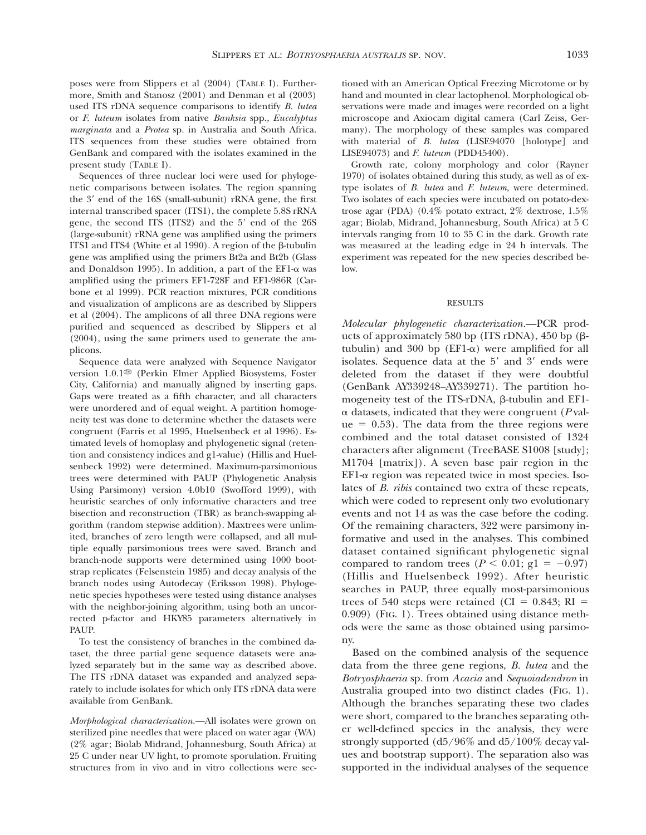poses were from Slippers et al (2004) (TABLE I). Furthermore, Smith and Stanosz (2001) and Denman et al (2003) used ITS rDNA sequence comparisons to identify *B. lutea* or *F. luteum* isolates from native *Banksia* spp., *Eucalyptus marginata* and a *Protea* sp. in Australia and South Africa. ITS sequences from these studies were obtained from GenBank and compared with the isolates examined in the present study (TABLE I).

Sequences of three nuclear loci were used for phylogenetic comparisons between isolates. The region spanning the  $3'$  end of the 16S (small-subunit) rRNA gene, the first internal transcribed spacer (ITS1), the complete 5.8S rRNA gene, the second ITS  $(ITS2)$  and the  $5'$  end of the  $26S$ (large-subunit) rRNA gene was amplified using the primers ITS1 and ITS4 (White et al 1990). A region of the  $\beta$ -tubulin gene was amplified using the primers Bt2a and Bt2b (Glass and Donaldson 1995). In addition, a part of the  $EFL-\alpha$  was amplified using the primers EF1-728F and EF1-986R (Carbone et al 1999). PCR reaction mixtures, PCR conditions and visualization of amplicons are as described by Slippers et al (2004). The amplicons of all three DNA regions were purified and sequenced as described by Slippers et al (2004), using the same primers used to generate the amplicons.

Sequence data were analyzed with Sequence Navigator version 1.0.1<sup>th</sup> (Perkin Elmer Applied Biosystems, Foster City, California) and manually aligned by inserting gaps. Gaps were treated as a fifth character, and all characters were unordered and of equal weight. A partition homogeneity test was done to determine whether the datasets were congruent (Farris et al 1995, Huelsenbeck et al 1996). Estimated levels of homoplasy and phylogenetic signal (retention and consistency indices and g1-value) (Hillis and Huelsenbeck 1992) were determined. Maximum-parsimonious trees were determined with PAUP (Phylogenetic Analysis Using Parsimony) version 4.0b10 (Swofford 1999), with heuristic searches of only informative characters and tree bisection and reconstruction (TBR) as branch-swapping algorithm (random stepwise addition). Maxtrees were unlimited, branches of zero length were collapsed, and all multiple equally parsimonious trees were saved. Branch and branch-node supports were determined using 1000 bootstrap replicates (Felsenstein 1985) and decay analysis of the branch nodes using Autodecay (Eriksson 1998). Phylogenetic species hypotheses were tested using distance analyses with the neighbor-joining algorithm, using both an uncorrected p-factor and HKY85 parameters alternatively in PAUP.

To test the consistency of branches in the combined dataset, the three partial gene sequence datasets were analyzed separately but in the same way as described above. The ITS rDNA dataset was expanded and analyzed separately to include isolates for which only ITS rDNA data were available from GenBank.

*Morphological characterization.*—All isolates were grown on sterilized pine needles that were placed on water agar (WA) (2% agar; Biolab Midrand, Johannesburg, South Africa) at 25 C under near UV light, to promote sporulation. Fruiting structures from in vivo and in vitro collections were sectioned with an American Optical Freezing Microtome or by hand and mounted in clear lactophenol. Morphological observations were made and images were recorded on a light microscope and Axiocam digital camera (Carl Zeiss, Germany). The morphology of these samples was compared with material of *B. lutea* (LISE94070 [holotype] and LISE94073) and *F. luteum* (PDD45400).

Growth rate, colony morphology and color (Rayner 1970) of isolates obtained during this study, as well as of extype isolates of *B. lutea* and *F. luteum,* were determined. Two isolates of each species were incubated on potato-dextrose agar (PDA) (0.4% potato extract, 2% dextrose, 1.5% agar; Biolab, Midrand, Johannesburg, South Africa) at 5 C intervals ranging from 10 to 35 C in the dark. Growth rate was measured at the leading edge in 24 h intervals. The experiment was repeated for the new species described below.

RESULTS

*Molecular phylogenetic characterization.*—PCR products of approximately 580 bp (ITS rDNA), 450 bp  $(\beta$ tubulin) and 300 bp ( $EFI-\alpha$ ) were amplified for all isolates. Sequence data at the  $5'$  and  $3'$  ends were deleted from the dataset if they were doubtful (GenBank AY339248–AY339271). The partition homogeneity test of the ITS-rDNA,  $\beta$ -tubulin and EF1a datasets, indicated that they were congruent (*P* val $ue = 0.53$ ). The data from the three regions were combined and the total dataset consisted of 1324 characters after alignment (TreeBASE S1008 [study]; M1704 [matrix]). A seven base pair region in the  $EFI-\alpha$  region was repeated twice in most species. Isolates of *B. ribis* contained two extra of these repeats, which were coded to represent only two evolutionary events and not 14 as was the case before the coding. Of the remaining characters, 322 were parsimony informative and used in the analyses. This combined dataset contained significant phylogenetic signal compared to random trees ( $P < 0.01$ ; g1 = -0.97) (Hillis and Huelsenbeck 1992). After heuristic searches in PAUP, three equally most-parsimonious trees of 540 steps were retained (CI =  $0.843$ ; RI = 0.909) (FIG. 1). Trees obtained using distance methods were the same as those obtained using parsimony.

Based on the combined analysis of the sequence data from the three gene regions, *B. lutea* and the *Botryosphaeria* sp. from *Acacia* and *Sequoiadendron* in Australia grouped into two distinct clades (FIG. 1). Although the branches separating these two clades were short, compared to the branches separating other well-defined species in the analysis, they were strongly supported (d5/96% and d5/100% decay values and bootstrap support). The separation also was supported in the individual analyses of the sequence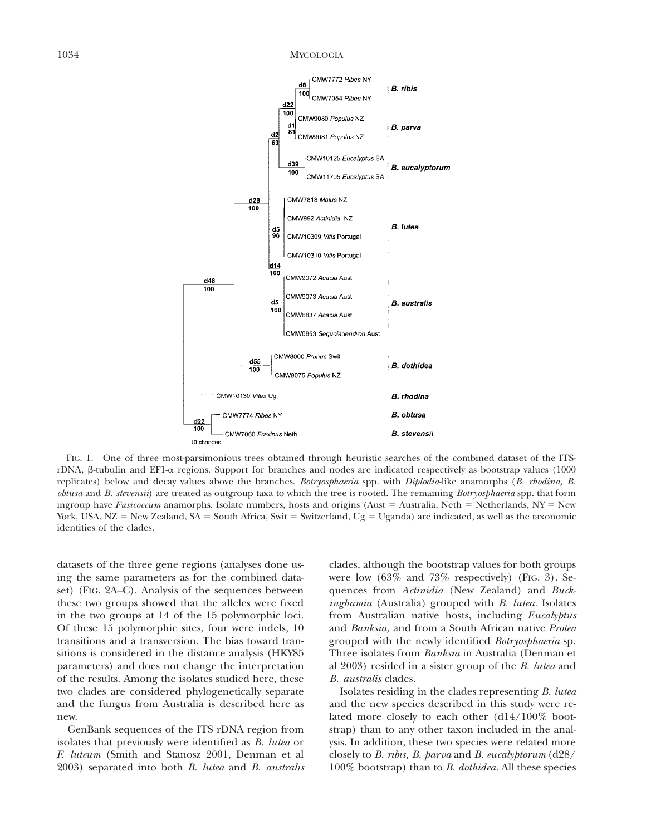## 1034 MYCOLOGIA



FIG. 1. One of three most-parsimonious trees obtained through heuristic searches of the combined dataset of the ITSrDNA, β-tubulin and EF1-α regions. Support for branches and nodes are indicated respectively as bootstrap values (1000 replicates) below and decay values above the branches. *Botryosphaeria* spp. with *Diplodia*-like anamorphs (*B. rhodina, B. obtusa* and *B. stevensii*) are treated as outgroup taxa to which the tree is rooted. The remaining *Botryosphaeria* spp. that form ingroup have *Fusicoccum* anamorphs. Isolate numbers, hosts and origins (Aust = Australia, Neth = Netherlands, NY = New York, USA, NZ = New Zealand, SA = South Africa, Swit = Switzerland, Ug = Uganda) are indicated, as well as the taxonomic identities of the clades.

datasets of the three gene regions (analyses done using the same parameters as for the combined dataset) (FIG. 2A–C). Analysis of the sequences between these two groups showed that the alleles were fixed in the two groups at 14 of the 15 polymorphic loci. Of these 15 polymorphic sites, four were indels, 10 transitions and a transversion. The bias toward transitions is considered in the distance analysis (HKY85 parameters) and does not change the interpretation of the results. Among the isolates studied here, these two clades are considered phylogenetically separate and the fungus from Australia is described here as new.

GenBank sequences of the ITS rDNA region from isolates that previously were identified as *B. lutea* or *F. luteum* (Smith and Stanosz 2001, Denman et al 2003) separated into both *B. lutea* and *B. australis*

clades, although the bootstrap values for both groups were low (63% and 73% respectively) (FIG. 3). Sequences from *Actinidia* (New Zealand) and *Buckinghamia* (Australia) grouped with *B. lutea.* Isolates from Australian native hosts, including *Eucalyptus* and *Banksia,* and from a South African native *Protea* grouped with the newly identified *Botryosphaeria* sp. Three isolates from *Banksia* in Australia (Denman et al 2003) resided in a sister group of the *B. lutea* and *B. australis* clades.

Isolates residing in the clades representing *B. lutea* and the new species described in this study were related more closely to each other (d14/100% bootstrap) than to any other taxon included in the analysis. In addition, these two species were related more closely to *B. ribis, B. parva* and *B. eucalyptorum* (d28/ 100% bootstrap) than to *B. dothidea.* All these species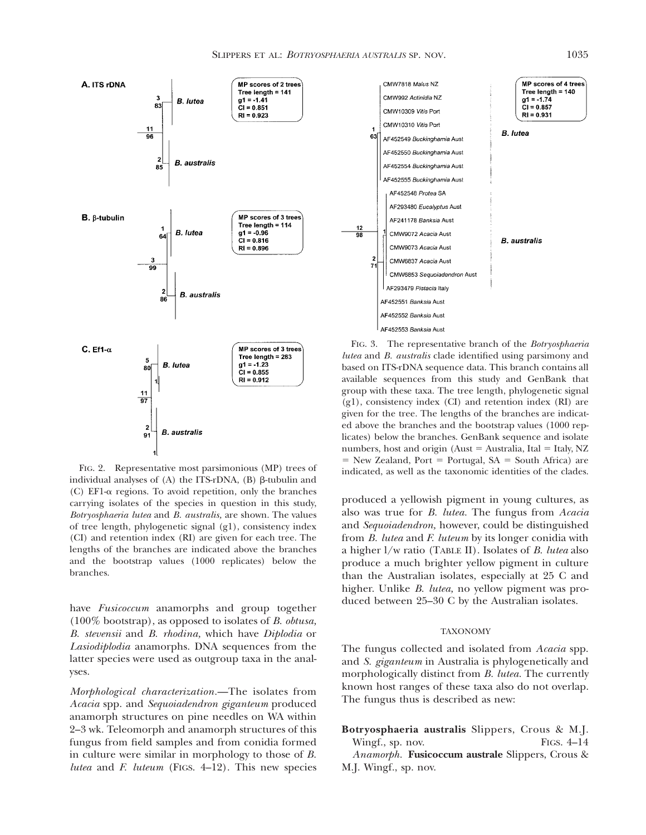

FIG. 2. Representative most parsimonious (MP) trees of individual analyses of  $(A)$  the ITS-rDNA,  $(B)$   $\beta$ -tubulin and (C) EF1-a regions. To avoid repetition, only the branches carrying isolates of the species in question in this study, *Botryosphaeria lutea* and *B. australis,* are shown. The values of tree length, phylogenetic signal (g1), consistency index (CI) and retention index (RI) are given for each tree. The lengths of the branches are indicated above the branches and the bootstrap values (1000 replicates) below the branches.

have *Fusicoccum* anamorphs and group together (100% bootstrap), as opposed to isolates of *B. obtusa, B. stevensii* and *B. rhodina,* which have *Diplodia* or *Lasiodiplodia* anamorphs. DNA sequences from the latter species were used as outgroup taxa in the analyses.

*Morphological characterization.*—The isolates from *Acacia* spp. and *Sequoiadendron giganteum* produced anamorph structures on pine needles on WA within 2–3 wk. Teleomorph and anamorph structures of this fungus from field samples and from conidia formed in culture were similar in morphology to those of *B. lutea* and *F. luteum* (FIGS. 4–12). This new species



FIG. 3. The representative branch of the *Botryosphaeria lutea* and *B. australis* clade identified using parsimony and based on ITS-rDNA sequence data. This branch contains all available sequences from this study and GenBank that group with these taxa. The tree length, phylogenetic signal (g1), consistency index (CI) and retention index (RI) are given for the tree. The lengths of the branches are indicated above the branches and the bootstrap values (1000 replicates) below the branches. GenBank sequence and isolate numbers, host and origin (Aust  $=$  Australia, Ital  $=$  Italy, NZ  $=$  New Zealand, Port  $=$  Portugal, SA  $=$  South Africa) are indicated, as well as the taxonomic identities of the clades.

produced a yellowish pigment in young cultures, as also was true for *B. lutea.* The fungus from *Acacia* and *Sequoiadendron,* however, could be distinguished from *B. lutea* and *F. luteum* by its longer conidia with a higher l/w ratio (TABLE II). Isolates of *B. lutea* also produce a much brighter yellow pigment in culture than the Australian isolates, especially at 25 C and higher. Unlike *B. lutea,* no yellow pigment was produced between 25–30 C by the Australian isolates.

#### TAXONOMY

The fungus collected and isolated from *Acacia* spp. and *S. giganteum* in Australia is phylogenetically and morphologically distinct from *B. lutea.* The currently known host ranges of these taxa also do not overlap. The fungus thus is described as new:

**Botryosphaeria australis** Slippers, Crous & M.J. Wingf., sp. nov. FIGS. 4–14

*Anamorph.* **Fusicoccum australe** Slippers, Crous & M.J. Wingf., sp. nov.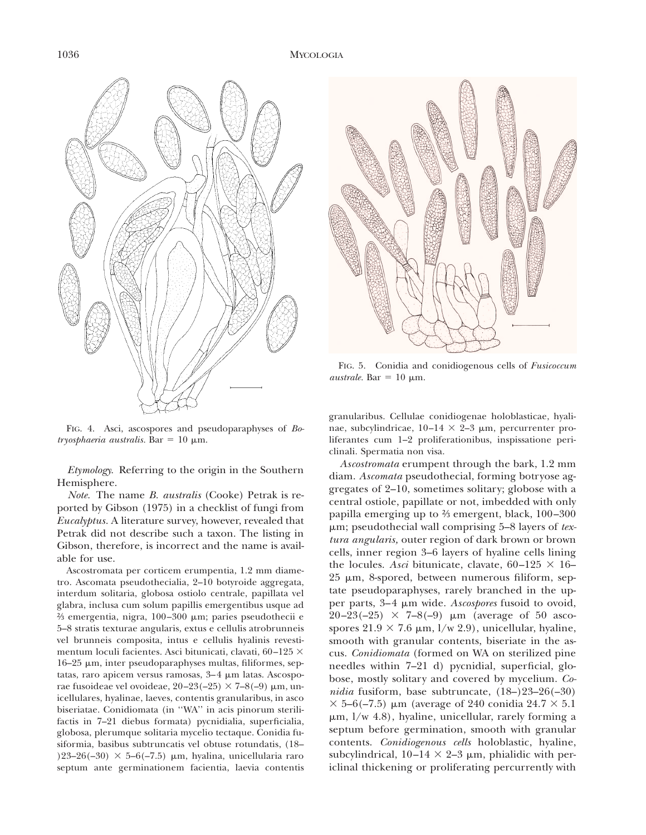



FIG. 5. Conidia and conidiogenous cells of *Fusicoccum australe.* Bar = 10  $\mu$ m.

granularibus. Cellulae conidiogenae holoblasticae, hyalinae, subcylindricae,  $10-14 \times 2-3 \mu m$ , percurrenter proliferantes cum 1–2 proliferationibus, inspissatione periclinali. Spermatia non visa.

FIG. 4. Asci, ascospores and pseudoparaphyses of *Botryosphaeria australis.* Bar =  $10 \mu m$ .

*Etymology.* Referring to the origin in the Southern Hemisphere.

*Note.* The name *B. australis* (Cooke) Petrak is reported by Gibson (1975) in a checklist of fungi from *Eucalyptus.* A literature survey, however, revealed that Petrak did not describe such a taxon. The listing in Gibson, therefore, is incorrect and the name is available for use.

Ascostromata per corticem erumpentia, 1.2 mm diametro. Ascomata pseudothecialia, 2–10 botyroide aggregata, interdum solitaria, globosa ostiolo centrale, papillata vel glabra, inclusa cum solum papillis emergentibus usque ad  $\frac{2}{3}$  emergentia, nigra, 100–300 μm; paries pseudothecii e 5–8 stratis texturae angularis, extus e cellulis atrobrunneis vel brunneis composita, intus e cellulis hyalinis revestimentum loculi facientes. Asci bitunicati, clavati, 60-125  $\times$  $16-25$   $\mu$ m, inter pseudoparaphyses multas, filiformes, septatas, raro apicem versus ramosas,  $3-4 \mu$ m latas. Ascosporae fusoideae vel ovoideae,  $20-23(-25) \times 7-8(-9) \mu m$ , unicellulares, hyalinae, laeves, contentis granularibus, in asco biseriatae. Conidiomata (in ''WA'' in acis pinorum sterilifactis in 7–21 diebus formata) pycnidialia, superficialia, globosa, plerumque solitaria mycelio tectaque. Conidia fusiformia, basibus subtruncatis vel obtuse rotundatis, (18– )23–26(–30)  $\times$  5–6(–7.5) µm, hyalina, unicellularia raro septum ante germinationem facientia, laevia contentis

*Ascostromata* erumpent through the bark, 1.2 mm diam. *Ascomata* pseudothecial, forming botryose aggregates of 2–10, sometimes solitary; globose with a central ostiole, papillate or not, imbedded with only papilla emerging up to ⅔ emergent, black, 100–300 mm; pseudothecial wall comprising 5–8 layers of *textura angularis,* outer region of dark brown or brown cells, inner region 3–6 layers of hyaline cells lining the locules. *Asci* bitunicate, clavate,  $60-125 \times 16$ –  $25 \mu m$ , 8-spored, between numerous filiform, septate pseudoparaphyses, rarely branched in the upper parts, 3–4 mm wide. *Ascospores* fusoid to ovoid,  $20-23(-25) \times 7-8(-9) \mu m$  (average of 50 ascospores  $21.9 \times 7.6 \mu m$ ,  $1/w$  2.9), unicellular, hyaline, smooth with granular contents, biseriate in the ascus. *Conidiomata* (formed on WA on sterilized pine needles within 7–21 d) pycnidial, superficial, globose, mostly solitary and covered by mycelium. *Conidia* fusiform, base subtruncate, (18–)23–26(–30)  $\times$  5–6(–7.5) µm (average of 240 conidia 24.7  $\times$  5.1  $\mu$ m,  $1/w$  4.8), hyaline, unicellular, rarely forming a septum before germination, smooth with granular contents. *Conidiogenous cells* holoblastic, hyaline, subcylindrical,  $10-14 \times 2-3$  µm, phialidic with periclinal thickening or proliferating percurrently with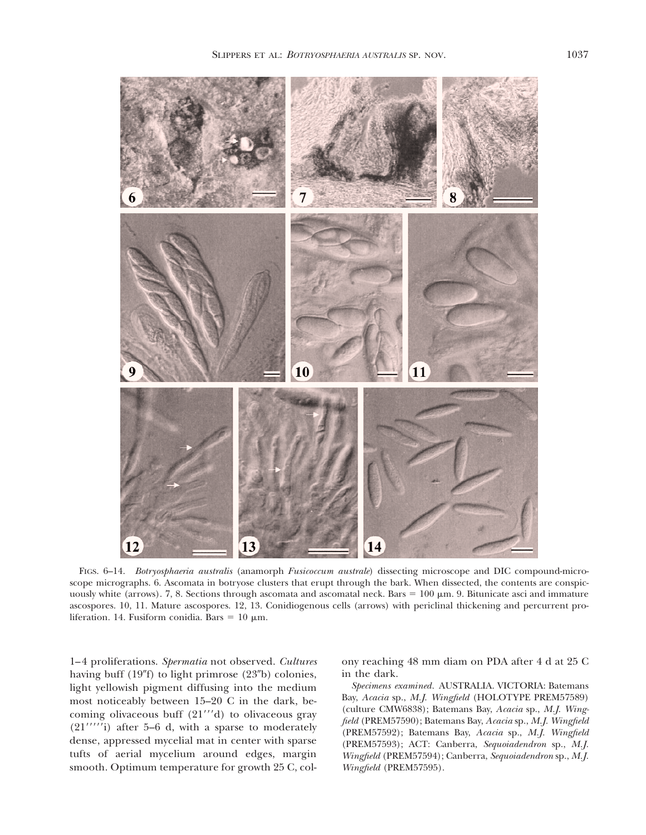

FIGS. 6–14. *Botryosphaeria australis* (anamorph *Fusicoccum australe*) dissecting microscope and DIC compound-microscope micrographs. 6. Ascomata in botryose clusters that erupt through the bark. When dissected, the contents are conspicuously white (arrows). 7, 8. Sections through ascomata and ascomatal neck. Bars =  $100 \mu m$ . 9. Bitunicate asci and immature ascospores. 10, 11. Mature ascospores. 12, 13. Conidiogenous cells (arrows) with periclinal thickening and percurrent proliferation. 14. Fusiform conidia. Bars =  $10 \mu m$ .

1–4 proliferations. *Spermatia* not observed. *Cultures* having buff  $(19<sup>''</sup>f)$  to light primrose  $(23<sup>''</sup>b)$  colonies, light yellowish pigment diffusing into the medium most noticeably between 15–20 C in the dark, becoming olivaceous buff  $(21''d)$  to olivaceous gray  $(21''''')$  after 5–6 d, with a sparse to moderately dense, appressed mycelial mat in center with sparse tufts of aerial mycelium around edges, margin smooth. Optimum temperature for growth 25 C, colony reaching 48 mm diam on PDA after 4 d at 25 C in the dark.

*Specimens examined.* AUSTRALIA. VICTORIA: Batemans Bay, *Acacia* sp., M.J. Wingfield (HOLOTYPE PREM57589) (culture CMW6838); Batemans Bay, *Acacia* sp., *M.J. Wingfield* (PREM57590); Batemans Bay, *Acacia* sp., *M.J. Wingfield* (PREM57592); Batemans Bay, *Acacia* sp., *M.J. Wingfield* (PREM57593); ACT: Canberra, *Sequoiadendron* sp., *M.J. Wingfield* (PREM57594); Canberra, *Sequoiadendron* sp., *M.J. Wingfield* (PREM57595).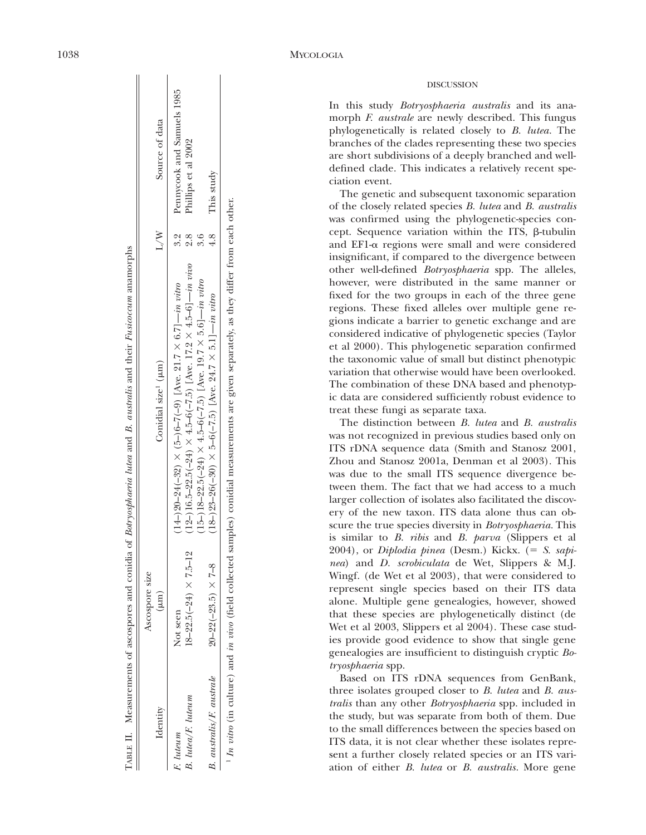|                          |                                                            | TABLE II. Measurements of ascospores and conidia of Botryosphaeria lutea and B. australis and their Fusicoccum anamorphs |     |                            |
|--------------------------|------------------------------------------------------------|--------------------------------------------------------------------------------------------------------------------------|-----|----------------------------|
| Identity                 | Ascospore size                                             | Conidial size <sup>1</sup> $(\mu m)$                                                                                     | L/N | Source of data             |
|                          | $\mu$ m                                                    |                                                                                                                          |     |                            |
| F. luteum                | Not seen                                                   | $(14-)20-24(-32) \times (5-)6-7(-9)$ [Ave. 21.7 $\times$ 6.7]—in vitro                                                   | ್ಲಿ | Pennycook and Samuels 1985 |
| B. lutea/F. luteum       | $18 - 22.5(-24) \times 7.5 - 12$                           | $(12-)16.5-22.5(-24) \times 4.5-6(-7.5)$ [Ave. 17.2 $\times 4.5-6$ ] — in vivo                                           | 8.S | Phillips et al 2002        |
|                          |                                                            | $(15-)18-22.5(-24) \times 4.5-6(-7.5)$ [Ave. 19.7 × 5.6] — in vitro                                                      | 3.6 |                            |
| B. australis/F. australe | $20 - 22(-23.5) \times 7 - 8$                              | $(18-26(-30) \times 5-6(-7.5)$ [Ave. 24.7 $\times 5.1$ ] — <i>in vitro</i>                                               | 4.8 | This study                 |
|                          | しゅうしゅ こうしゃ かいしょう かいしょう かいしょう こうしゅう しゅうしゃ しゅうしゃ しゅうしゅ かいしょう |                                                                                                                          |     |                            |

 *In vitro* (in culture) and *in vivo* (field collected samples) conidial measurements are given separately, as they differ from each other. In vitro (in culture) and in vivo (field collected samples) conidial measurements are given separately, as they differ from each other

#### DISCUSSION

In this study *Botryosphaeria australis* and its anamorph *F. australe* are newly described. This fungus phylogenetically is related closely to *B. lutea.* The branches of the clades representing these two species are short subdivisions of a deeply branched and welldefined clade. This indicates a relatively recent speciation event.

The genetic and subsequent taxonomic separation of the closely related species *B. lutea* and *B. australis* was confirmed using the phylogenetic-species concept. Sequence variation within the ITS,  $\beta$ -tubulin and EF1-a regions were small and were considered insignificant, if compared to the divergence between other well-defined *Botryosphaeria* spp. The alleles, however, were distributed in the same manner or fixed for the two groups in each of the three gene regions. These fixed alleles over multiple gene regions indicate a barrier to genetic exchange and are considered indicative of phylogenetic species (Taylor et al 2000). This phylogenetic separation confirmed the taxonomic value of small but distinct phenotypic variation that otherwise would have been overlooked. The combination of these DNA based and phenotypic data are considered sufficiently robust evidence to treat these fungi as separate taxa.

The distinction between *B. lutea* and *B. australis* was not recognized in previous studies based only on ITS rDNA sequence data (Smith and Stanosz 2001, Zhou and Stanosz 2001a, Denman et al 2003). This was due to the small ITS sequence divergence between them. The fact that we had access to a much larger collection of isolates also facilitated the discovery of the new taxon. ITS data alone thus can obscure the true species diversity in *Botryosphaeria.* This is similar to *B. ribis* and *B. parva* (Slippers et al 2004), or *Diplodia pinea* (Desm.) Kickx. (= S. sapi*nea*) and *D. scrobiculata* de Wet, Slippers & M.J. Wingf. (de Wet et al 2003), that were considered to represent single species based on their ITS data alone. Multiple gene genealogies, however, showed that these species are phylogenetically distinct (de Wet et al 2003, Slippers et al 2004). These case studies provide good evidence to show that single gene genealogies are insufficient to distinguish cryptic *Botryosphaeria* spp.

Based on ITS rDNA sequences from GenBank, three isolates grouped closer to *B. lutea* and *B. australis* than any other *Botryosphaeria* spp. included in the study, but was separate from both of them. Due to the small differences between the species based on ITS data, it is not clear whether these isolates represent a further closely related species or an ITS variation of either *B. lutea* or *B. australis.* More gene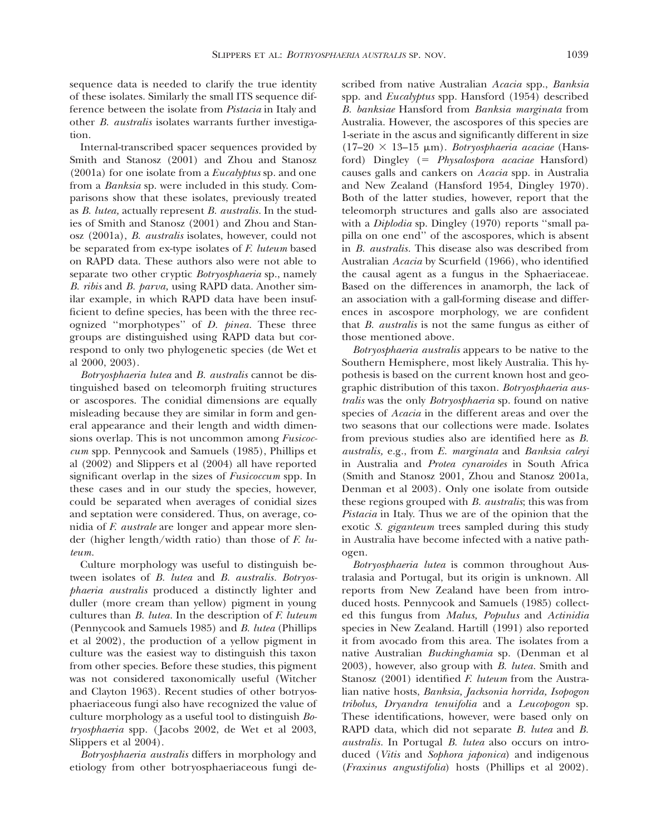sequence data is needed to clarify the true identity of these isolates. Similarly the small ITS sequence difference between the isolate from *Pistacia* in Italy and other *B. australis* isolates warrants further investigation.

Internal-transcribed spacer sequences provided by Smith and Stanosz (2001) and Zhou and Stanosz (2001a) for one isolate from a *Eucalyptus* sp. and one from a *Banksia* sp. were included in this study. Comparisons show that these isolates, previously treated as *B. lutea,* actually represent *B. australis.* In the studies of Smith and Stanosz (2001) and Zhou and Stanosz (2001a), *B. australis* isolates, however, could not be separated from ex-type isolates of *F. luteum* based on RAPD data. These authors also were not able to separate two other cryptic *Botryosphaeria* sp., namely *B. ribis* and *B. parva,* using RAPD data. Another similar example, in which RAPD data have been insufficient to define species, has been with the three recognized ''morphotypes'' of *D. pinea.* These three groups are distinguished using RAPD data but correspond to only two phylogenetic species (de Wet et al 2000, 2003).

*Botryosphaeria lutea* and *B. australis* cannot be distinguished based on teleomorph fruiting structures or ascospores. The conidial dimensions are equally misleading because they are similar in form and general appearance and their length and width dimensions overlap. This is not uncommon among *Fusicoccum* spp. Pennycook and Samuels (1985), Phillips et al (2002) and Slippers et al (2004) all have reported significant overlap in the sizes of *Fusicoccum* spp. In these cases and in our study the species, however, could be separated when averages of conidial sizes and septation were considered. Thus, on average, conidia of *F. australe* are longer and appear more slender (higher length/width ratio) than those of *F. luteum.*

Culture morphology was useful to distinguish between isolates of *B. lutea* and *B. australis. Botryosphaeria australis* produced a distinctly lighter and duller (more cream than yellow) pigment in young cultures than *B. lutea.* In the description of *F. luteum* (Pennycook and Samuels 1985) and *B. lutea* (Phillips et al 2002), the production of a yellow pigment in culture was the easiest way to distinguish this taxon from other species. Before these studies, this pigment was not considered taxonomically useful (Witcher and Clayton 1963). Recent studies of other botryosphaeriaceous fungi also have recognized the value of culture morphology as a useful tool to distinguish *Botryosphaeria* spp. ( Jacobs 2002, de Wet et al 2003, Slippers et al 2004).

*Botryosphaeria australis* differs in morphology and etiology from other botryosphaeriaceous fungi described from native Australian *Acacia* spp., *Banksia* spp. and *Eucalyptus* spp. Hansford (1954) described *B. banksiae* Hansford from *Banksia marginata* from Australia. However, the ascospores of this species are 1-seriate in the ascus and significantly different in size (17–20 3 13–15 mm). *Botryosphaeria acaciae* (Hansford) Dingley (5 *Physalospora acaciae* Hansford) causes galls and cankers on *Acacia* spp. in Australia and New Zealand (Hansford 1954, Dingley 1970). Both of the latter studies, however, report that the teleomorph structures and galls also are associated with a *Diplodia* sp. Dingley (1970) reports ''small papilla on one end'' of the ascospores, which is absent in *B. australis.* This disease also was described from Australian *Acacia* by Scurfield (1966), who identified the causal agent as a fungus in the Sphaeriaceae. Based on the differences in anamorph, the lack of an association with a gall-forming disease and differences in ascospore morphology, we are confident that *B. australis* is not the same fungus as either of those mentioned above.

*Botryosphaeria australis* appears to be native to the Southern Hemisphere, most likely Australia. This hypothesis is based on the current known host and geographic distribution of this taxon. *Botryosphaeria australis* was the only *Botryosphaeria* sp. found on native species of *Acacia* in the different areas and over the two seasons that our collections were made. Isolates from previous studies also are identified here as *B. australis,* e.g., from *E. marginata* and *Banksia caleyi* in Australia and *Protea cynaroides* in South Africa (Smith and Stanosz 2001, Zhou and Stanosz 2001a, Denman et al 2003). Only one isolate from outside these regions grouped with *B. australis*; this was from *Pistacia* in Italy. Thus we are of the opinion that the exotic *S. giganteum* trees sampled during this study in Australia have become infected with a native pathogen.

*Botryosphaeria lutea* is common throughout Australasia and Portugal, but its origin is unknown. All reports from New Zealand have been from introduced hosts. Pennycook and Samuels (1985) collected this fungus from *Malus, Populus* and *Actinidia* species in New Zealand. Hartill (1991) also reported it from avocado from this area. The isolates from a native Australian *Buckinghamia* sp. (Denman et al 2003), however, also group with *B. lutea.* Smith and Stanosz (2001) identified *F. luteum* from the Australian native hosts, *Banksia, Jacksonia horrida, Isopogon tribolus, Dryandra tenuifolia* and a *Leucopogon* sp. These identifications, however, were based only on RAPD data, which did not separate *B. lutea* and *B. australis.* In Portugal *B. lutea* also occurs on introduced (*Vitis* and *Sophora japonica*) and indigenous (*Fraxinus angustifolia*) hosts (Phillips et al 2002).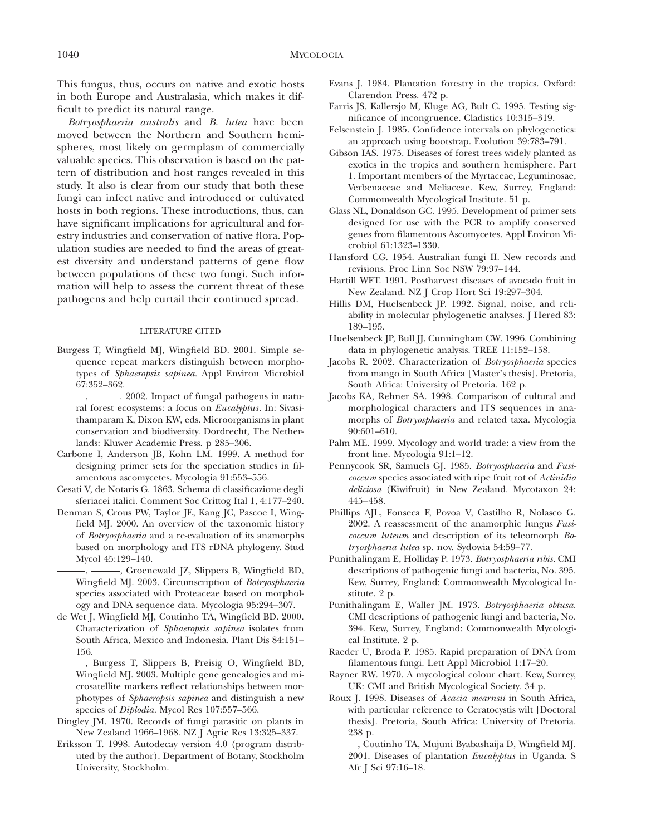This fungus, thus, occurs on native and exotic hosts in both Europe and Australasia, which makes it difficult to predict its natural range.

*Botryosphaeria australis* and *B. lutea* have been moved between the Northern and Southern hemispheres, most likely on germplasm of commercially valuable species. This observation is based on the pattern of distribution and host ranges revealed in this study. It also is clear from our study that both these fungi can infect native and introduced or cultivated hosts in both regions. These introductions, thus, can have significant implications for agricultural and forestry industries and conservation of native flora. Population studies are needed to find the areas of greatest diversity and understand patterns of gene flow between populations of these two fungi. Such information will help to assess the current threat of these pathogens and help curtail their continued spread.

#### LITERATURE CITED

Burgess T, Wingfield MJ, Wingfield BD. 2001. Simple sequence repeat markers distinguish between morphotypes of *Sphaeropsis sapinea.* Appl Environ Microbiol 67:352–362.

 $-$ ,  $-$  2002. Impact of fungal pathogens in natural forest ecosystems: a focus on *Eucalyptus.* In: Sivasithamparam K, Dixon KW, eds. Microorganisms in plant conservation and biodiversity. Dordrecht, The Netherlands: Kluwer Academic Press. p 285–306.

- Carbone I, Anderson JB, Kohn LM. 1999. A method for designing primer sets for the speciation studies in filamentous ascomycetes. Mycologia 91:553–556.
- Cesati V, de Notaris G. 1863. Schema di classificazione degli sferiacei italici. Comment Soc Crittog Ital 1, 4:177–240.
- Denman S, Crous PW, Taylor JE, Kang JC, Pascoe I, Wingfield MJ. 2000. An overview of the taxonomic history of *Botryosphaeria* and a re-evaluation of its anamorphs based on morphology and ITS rDNA phylogeny. Stud Mycol 45:129–140.
	- $-$ ,  $-$ , Groenewald IZ, Slippers B, Wingfield BD, Wingfield MJ. 2003. Circumscription of *Botryosphaeria* species associated with Proteaceae based on morphology and DNA sequence data. Mycologia 95:294–307.
- de Wet J, Wingfield MJ, Coutinho TA, Wingfield BD. 2000. Characterization of *Sphaeropsis sapinea* isolates from South Africa, Mexico and Indonesia. Plant Dis 84:151– 156.

, Burgess T, Slippers B, Preisig O, Wingfield BD, Wingfield MJ. 2003. Multiple gene genealogies and microsatellite markers reflect relationships between morphotypes of *Sphaeropsis sapinea* and distinguish a new species of *Diplodia.* Mycol Res 107:557–566.

- Dingley JM. 1970. Records of fungi parasitic on plants in New Zealand 1966–1968. NZ J Agric Res 13:325–337.
- Eriksson T. 1998. Autodecay version 4.0 (program distributed by the author). Department of Botany, Stockholm University, Stockholm.
- Evans J. 1984. Plantation forestry in the tropics. Oxford: Clarendon Press. 472 p.
- Farris JS, Kallersjo M, Kluge AG, Bult C. 1995. Testing significance of incongruence. Cladistics 10:315–319.
- Felsenstein J. 1985. Confidence intervals on phylogenetics: an approach using bootstrap. Evolution 39:783–791.
- Gibson IAS. 1975. Diseases of forest trees widely planted as exotics in the tropics and southern hemisphere. Part 1. Important members of the Myrtaceae, Leguminosae, Verbenaceae and Meliaceae. Kew, Surrey, England: Commonwealth Mycological Institute. 51 p.
- Glass NL, Donaldson GC. 1995. Development of primer sets designed for use with the PCR to amplify conserved genes from filamentous Ascomycetes. Appl Environ Microbiol 61:1323–1330.
- Hansford CG. 1954. Australian fungi II. New records and revisions. Proc Linn Soc NSW 79:97–144.
- Hartill WFT. 1991. Postharvest diseases of avocado fruit in New Zealand. NZ J Crop Hort Sci 19:297–304.
- Hillis DM, Huelsenbeck JP. 1992. Signal, noise, and reliability in molecular phylogenetic analyses. J Hered 83: 189–195.
- Huelsenbeck JP, Bull JJ, Cunningham CW. 1996. Combining data in phylogenetic analysis. TREE 11:152–158.
- Jacobs R. 2002. Characterization of *Botryosphaeria* species from mango in South Africa [Master's thesis]. Pretoria, South Africa: University of Pretoria. 162 p.
- Jacobs KA, Rehner SA. 1998. Comparison of cultural and morphological characters and ITS sequences in anamorphs of *Botryosphaeria* and related taxa. Mycologia 90:601–610.
- Palm ME. 1999. Mycology and world trade: a view from the front line. Mycologia 91:1–12.
- Pennycook SR, Samuels GJ. 1985. *Botryosphaeria* and *Fusicoccum* species associated with ripe fruit rot of *Actinidia deliciosa* (Kiwifruit) in New Zealand. Mycotaxon 24: 445–458.
- Phillips AJL, Fonseca F, Povoa V, Castilho R, Nolasco G. 2002. A reassessment of the anamorphic fungus *Fusicoccum luteum* and description of its teleomorph *Botryosphaeria lutea* sp. nov. Sydowia 54:59–77.
- Punithalingam E, Holliday P. 1973. *Botryosphaeria ribis.* CMI descriptions of pathogenic fungi and bacteria, No. 395. Kew, Surrey, England: Commonwealth Mycological Institute. 2 p.
- Punithalingam E, Waller JM. 1973. *Botryosphaeria obtusa.* CMI descriptions of pathogenic fungi and bacteria, No. 394. Kew, Surrey, England: Commonwealth Mycological Institute. 2 p.
- Raeder U, Broda P. 1985. Rapid preparation of DNA from filamentous fungi. Lett Appl Microbiol 1:17–20.
- Rayner RW. 1970. A mycological colour chart. Kew, Surrey, UK: CMI and British Mycological Society. 34 p.
- Roux J. 1998. Diseases of *Acacia mearnsii* in South Africa, with particular reference to Ceratocystis wilt [Doctoral thesis]. Pretoria, South Africa: University of Pretoria. 238 p.
- , Coutinho TA, Mujuni Byabashaija D, Wingfield MJ. 2001. Diseases of plantation *Eucalyptus* in Uganda. S Afr J Sci 97:16–18.